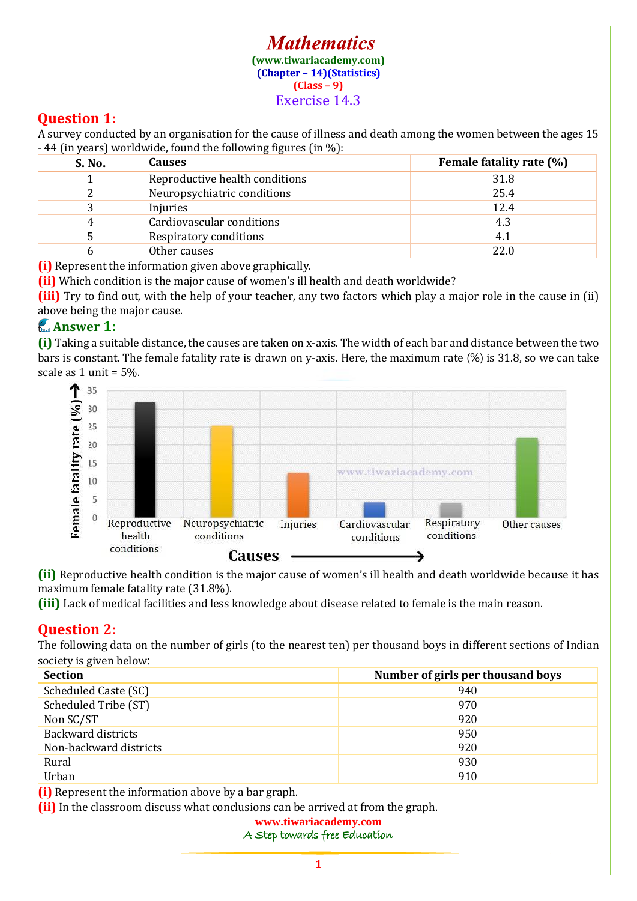#### **Mathematics [\(www.tiwariacademy.com\)](http://www.tiwariacademy.com/)** (Chapter - 14) (Statistics) **(Class – 9)** Exercise 14.3

## **Question 1:**

A survey conducted by an organisation for the cause of illness and death among the women between the ages 15 - 44 (in years) worldwide, found the following figures (in %):

| S. No. | <b>Causes</b>                  | Female fatality rate (%) |
|--------|--------------------------------|--------------------------|
|        | Reproductive health conditions | 31.8                     |
|        | Neuropsychiatric conditions    | 25.4                     |
|        | Injuries                       | 12.4                     |
|        | Cardiovascular conditions      | 4.3                      |
|        | Respiratory conditions         | 4.1                      |
|        | Other causes                   | 22.0                     |

**(i)** Represent the information given above graphically.

**(ii)** Which condition is the major cause of women's ill health and death worldwide?

**(iii)** Try to find out, with the help of your teacher, any two factors which play a major role in the cause in (ii) above being the major cause.

## **Answer 1:**

**(i)** Taking a suitable distance, the causes are taken on x-axis. The width of each bar and distance between the two bars is constant. The female fatality rate is drawn on y-axis. Here, the maximum rate (%) is 31.8, so we can take scale as 1 unit = 5%.



**(ii)** Reproductive health condition is the major cause of women's ill health and death worldwide because it has maximum female fatality rate (31.8%).

**(iii)** Lack of medical facilities and less knowledge about disease related to female is the main reason.

# **Question 2:**

The following data on the number of girls (to the nearest ten) per thousand boys in different sections of Indian society is given below:

| <b>Section</b>         | Number of girls per thousand boys |
|------------------------|-----------------------------------|
| Scheduled Caste (SC)   | 940                               |
| Scheduled Tribe (ST)   | 970                               |
| Non SC/ST              | 920                               |
| Backward districts     | 950                               |
| Non-backward districts | 920                               |
| Rural                  | 930                               |
| Urban                  | 910                               |

**(i)** Represent the information above by a bar graph.

**(ii)** In the classroom discuss what conclusions can be arrived at from the graph.

### **[www.tiwariacademy.com](http://www.tiwariacademy.com/)**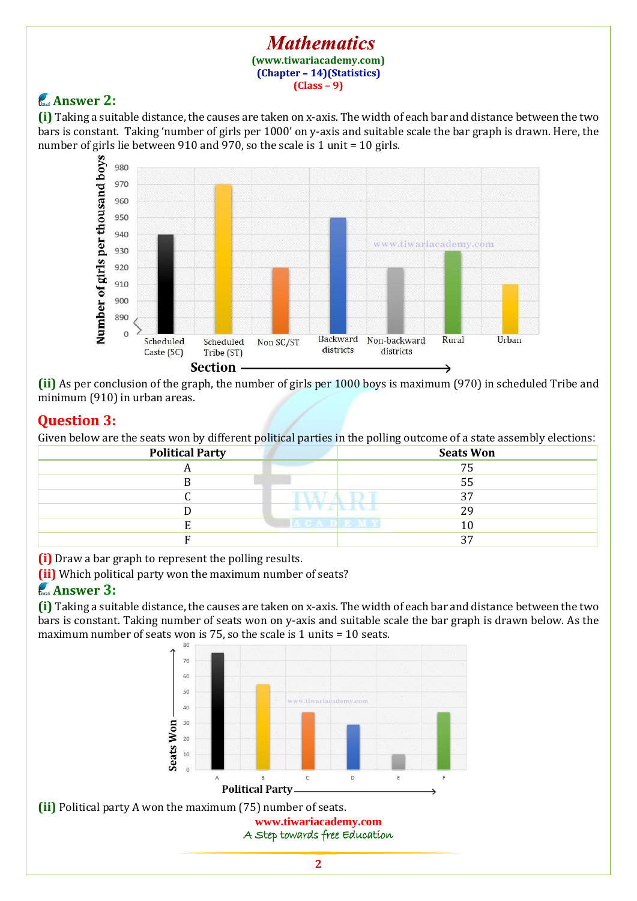#### **Mathematics [\(www.tiwariacademy.com\)](http://www.tiwariacademy.com/)** (Chapter - 14) (Statistics) **(Class – 9)**

# **Answer 2:**

**(i)** Taking a suitable distance, the causes are taken on x-axis. The width of each bar and distance between the two bars is constant. Taking 'number of girls per 1000' on y-axis and suitable scale the bar graph is drawn. Here, the number of girls lie between 910 and 970, so the scale is 1 unit = 10 girls.



**(ii)** As per conclusion of the graph, the number of girls per 1000 boys is maximum (970) in scheduled Tribe and minimum (910) in urban areas.

# **Question 3:**

Given below are the seats won by different political parties in the polling outcome of a state assembly elections:

| <b>Political Party</b> | <b>Seats Won</b>             |
|------------------------|------------------------------|
| л                      | 75                           |
|                        | 55                           |
|                        | 27                           |
|                        | 29                           |
|                        | n an a<br><b>TELES</b><br>10 |
|                        | רי ר                         |

**(i)** Draw a bar graph to represent the polling results.

**(ii)** Which political party won the maximum number of seats?

# **Answer 3:**

**(i)** Taking a suitable distance, the causes are taken on x-axis. The width of each bar and distance between the two bars is constant. Taking number of seats won on y-axis and suitable scale the bar graph is drawn below. As the maximum number of seats won is 75, so the scale is 1 units = 10 seats.



**[www.tiwariacademy.com](http://www.tiwariacademy.com/) (ii)** Political party A won the maximum (75) number of seats.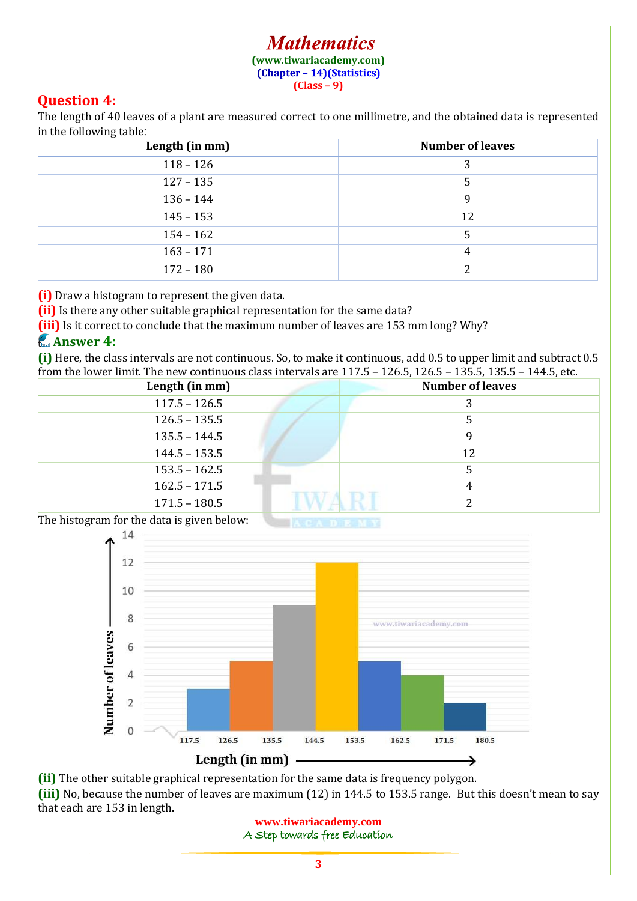#### **Mathematics [\(www.tiwariacademy.com\)](http://www.tiwariacademy.com/)** (Chapter - 14) (Statistics) **(Class – 9)**

## **Question 4:**

The length of 40 leaves of a plant are measured correct to one millimetre, and the obtained data is represented in the following table:

| Length (in mm) | <b>Number of leaves</b> |
|----------------|-------------------------|
| $118 - 126$    |                         |
| $127 - 135$    |                         |
| $136 - 144$    | q                       |
| $145 - 153$    | 12                      |
| $154 - 162$    |                         |
| $163 - 171$    |                         |
| $172 - 180$    |                         |

**(i)** Draw a histogram to represent the given data.

**(ii)** Is there any other suitable graphical representation for the same data?

**(iii)** Is it correct to conclude that the maximum number of leaves are 153 mm long? Why?

### **Answer 4:**

**(i)** Here, the class intervals are not continuous. So, to make it continuous, add 0.5 to upper limit and subtract 0.5 from the lower limit. The new continuous class intervals are 117.5 – 126.5, 126.5 – 135.5, 135.5 – 144.5, etc.

| Length (in mm)  | <b>Number of leaves</b> |
|-----------------|-------------------------|
| $117.5 - 126.5$ |                         |
| $126.5 - 135.5$ |                         |
| $135.5 - 144.5$ |                         |
| $144.5 - 153.5$ | 12                      |
| $153.5 - 162.5$ |                         |
| $162.5 - 171.5$ |                         |
| $171.5 - 180.5$ |                         |

The histogram for the data is given below:



**(ii)** The other suitable graphical representation for the same data is frequency polygon. **(iii)** No, because the number of leaves are maximum (12) in 144.5 to 153.5 range. But this doesn't mean to say that each are 153 in length.

**[www.tiwariacademy.com](http://www.tiwariacademy.com/)** A Step towards free Education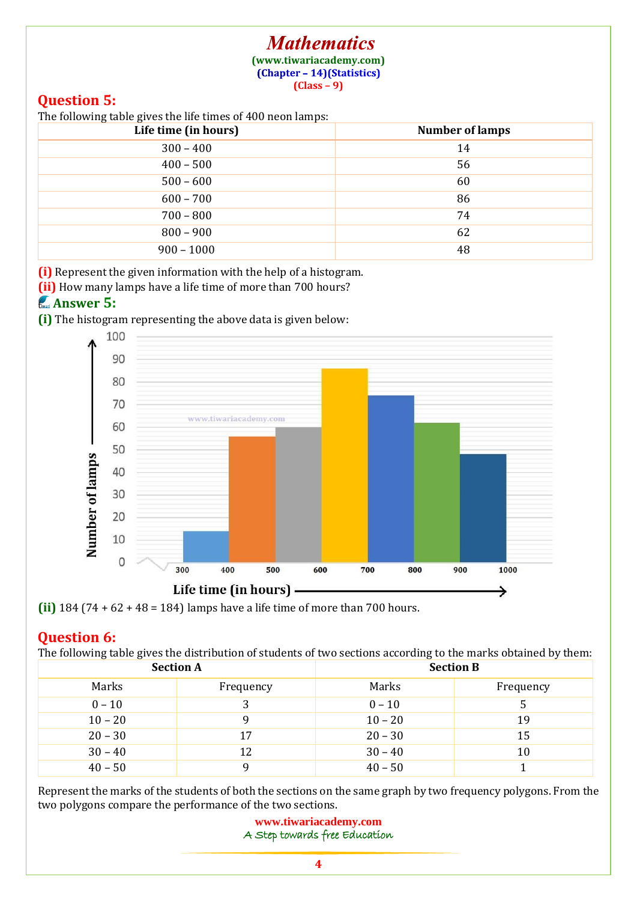### **Mathematics [\(www.tiwariacademy.com\)](http://www.tiwariacademy.com/)**

(Chapter - 14) (Statistics)

**(Class – 9)**

# **Question 5:**

The following table gives the life times of 400 neon lamps:

| ້<br>$\overline{\phantom{a}}$<br>Life time (in hours) | <b>Number of lamps</b> |
|-------------------------------------------------------|------------------------|
| $300 - 400$                                           | 14                     |
| $400 - 500$                                           | 56                     |
| $500 - 600$                                           | 60                     |
| $600 - 700$                                           | 86                     |
| $700 - 800$                                           | 74                     |
| $800 - 900$                                           | 62                     |
| $900 - 1000$                                          | 48                     |

**(i)** Represent the given information with the help of a histogram.

**(ii)** How many lamps have a life time of more than 700 hours?

## **Answer 5:**

**(i)** The histogram representing the above data is given below:



**(ii)** 184 (74 + 62 + 48 = 184) lamps have a life time of more than 700 hours.

# **Question 6:**

The following table gives the distribution of students of two sections according to the marks obtained by them:

| <b>Section A</b> |           | <b>Section B</b> |           |  |
|------------------|-----------|------------------|-----------|--|
| Marks            | Frequency | Marks            | Frequency |  |
| $0 - 10$         |           | $0 - 10$         |           |  |
| $10 - 20$        | q         | $10 - 20$        | 19        |  |
| $20 - 30$        | 17        | $20 - 30$        | 15        |  |
| $30 - 40$        | 12        | $30 - 40$        | 10        |  |
| $40 - 50$        | a         | $40 - 50$        |           |  |

Represent the marks of the students of both the sections on the same graph by two frequency polygons. From the two polygons compare the performance of the two sections.

> **[www.tiwariacademy.com](http://www.tiwariacademy.com/)** A Step towards free Education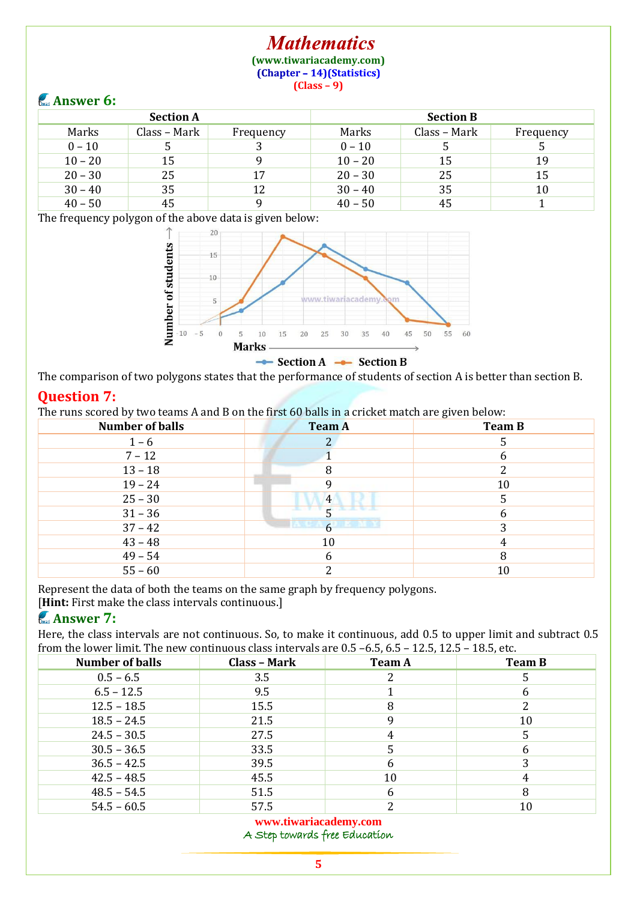#### **Mathematics [\(www.tiwariacademy.com\)](http://www.tiwariacademy.com/)** (Chapter - 14) (Statistics) **(Class – 9)**

### **Answer 6:**

| $\sim$           |              |           |                  |              |           |
|------------------|--------------|-----------|------------------|--------------|-----------|
| <b>Section A</b> |              |           | <b>Section B</b> |              |           |
| Marks            | Class - Mark | Frequency | Marks            | Class - Mark | Frequency |
| $0 - 10$         |              |           | $0 - 10$         |              |           |
| $10 - 20$        | 15           |           | $10 - 20$        | 15           | 19        |
| $20 - 30$        | 25           | 17        | $20 - 30$        | 25           | 15        |
| $30 - 40$        | 35           | 12        | $30 - 40$        | 35           | 10        |
| $40 - 50$        | 45           |           | $40 - 50$        | 45           |           |

The frequency polygon of the above data is given below:



The comparison of two polygons states that the performance of students of section A is better than section B.

### **Question 7:**

The runs scored by two teams A and B on the first 60 balls in a cricket match are given below:

| <b>Number of balls</b> | <b>Team A</b>             | <b>Team B</b> |
|------------------------|---------------------------|---------------|
| $1 - 6$                |                           |               |
| $7 - 12$               |                           | h             |
| $13 - 18$              |                           |               |
| $19 - 24$              |                           | 10            |
| $25 - 30$              | 4                         |               |
| $31 - 36$              |                           |               |
| $37 - 42$              | anang<br>$6 \overline{6}$ |               |
| $43 - 48$              | 10                        |               |
| $49 - 54$              |                           |               |
| $55 - 60$              |                           | 10            |

Represent the data of both the teams on the same graph by frequency polygons.

[**Hint**: First make the class intervals continuous.]

## **Answer 7:**

Here, the class intervals are not continuous. So, to make it continuous, add 0.5 to upper limit and subtract 0.5 from the lower limit. The new continuous class intervals are 0.5 –6.5, 6.5 – 12.5, 12.5 – 18.5, etc.

| <b>Number of balls</b> | Class - Mark | <b>Team A</b> | <b>Team B</b> |
|------------------------|--------------|---------------|---------------|
| $0.5 - 6.5$            | 3.5          |               |               |
| $6.5 - 12.5$           | 9.5          |               |               |
| $12.5 - 18.5$          | 15.5         | 8             |               |
| $18.5 - 24.5$          | 21.5         |               | 10            |
| $24.5 - 30.5$          | 27.5         |               |               |
| $30.5 - 36.5$          | 33.5         |               |               |
| $36.5 - 42.5$          | 39.5         | 6             |               |
| $42.5 - 48.5$          | 45.5         | 10            |               |
| $48.5 - 54.5$          | 51.5         | b             |               |
| $54.5 - 60.5$          | 57.5         | ∍             | 10            |

#### **[www.tiwariacademy.com](http://www.tiwariacademy.com/)**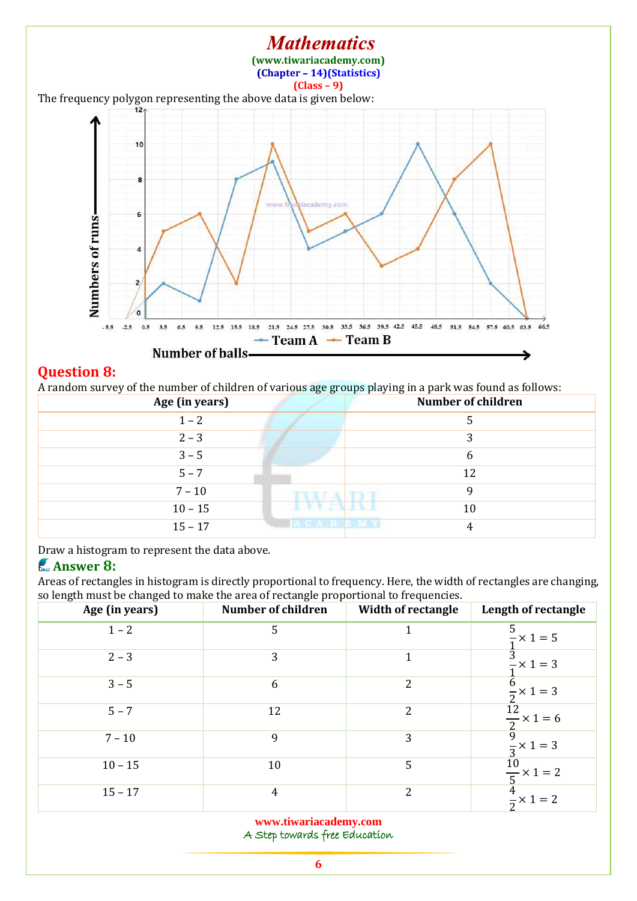#### **Mathematics [\(www.tiwariacademy.com\)](http://www.tiwariacademy.com/)** (Chapter - 14) (Statistics) **(Class – 9)** The frequency polygon representing the above data is given below:  $12<sub>2</sub>$ 10  $\overline{a}$ cademy.con 6 Numbers of runs- $\overline{4}$  $\overline{2}$  $\alpha$ 12.5 15.5 18.5 21.5 24.5 27.5 30.5 33.5 36.5 39.5 42.5 45.5 48.5 51.5 54.5 57.5 60.5 63.5  $-5.5$  $-2.5$  $0.5$  $3.5$ 6.5  $9.5$ 66.5  $\rightarrow$  Team A  $\rightarrow$  Team B Number of balls-ঌ

### **Question 8:**

A random survey of the number of children of various age groups playing in a park was found as follows:

| Age (in years) |                          | <b>Number of children</b> |
|----------------|--------------------------|---------------------------|
| $1 - 2$        |                          |                           |
| $2 - 3$        |                          | 3                         |
| $3 - 5$        |                          |                           |
| $5 - 7$        |                          | 12                        |
| $7 - 10$       |                          |                           |
| $10 - 15$      | <b>Contract Contract</b> | 10                        |
| $15 - 17$      | <b>INSOLA DEPARTMENT</b> |                           |

Draw a histogram to represent the data above.

## **Answer 8:**

Areas of rectangles in histogram is directly proportional to frequency. Here, the width of rectangles are changing, so length must be changed to make the area of rectangle proportional to frequencies.

| ັ<br>Age (in years) | <b>Number of children</b> | <b>Width of rectangle</b> | Length of rectangle                   |
|---------------------|---------------------------|---------------------------|---------------------------------------|
| $1 - 2$             | 5                         |                           | 5<br>$\frac{1}{2} \times 1 = 5$       |
| $2 - 3$             | 3                         | 1                         | າ<br>$\frac{3}{7} \times 1 = 3$       |
| $3 - 5$             | 6                         | 2                         | 6<br>$\times$ 1 = 3<br>$\overline{a}$ |
| $5 - 7$             | 12                        | $\overline{2}$            | $\frac{12}{2} \times 1 = 6$           |
| $7 - 10$            | 9                         | 3                         | $\frac{\pi}{2} \times 1 = 3$          |
| $10 - 15$           | 10                        | 5                         | 10<br>$\frac{1}{5}$ x 1 = 2           |
| $15 - 17$           | $\overline{4}$            | 2                         | $\frac{4}{2} \times 1 = 2$            |

**[www.tiwariacademy.com](http://www.tiwariacademy.com/)**